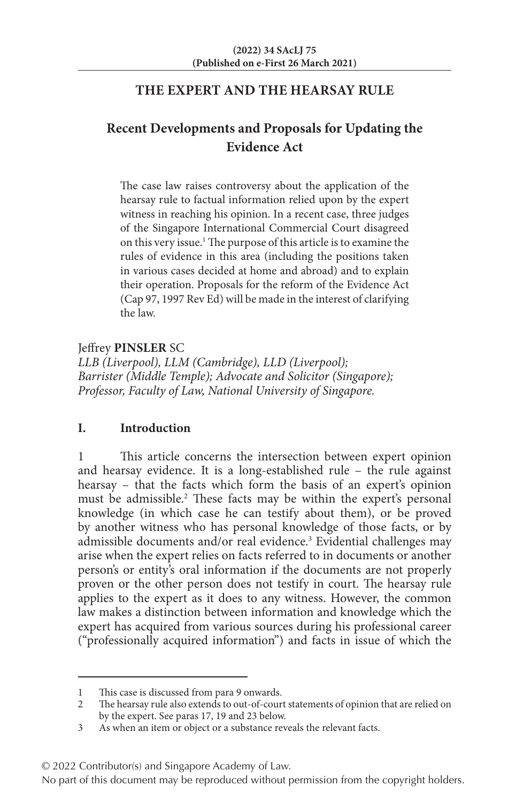## **THE EXPERT AND THE HEARSAY RULE**

# **Recent Developments and Proposals for Updating the Evidence Act**

The case law raises controversy about the application of the hearsay rule to factual information relied upon by the expert witness in reaching his opinion. In a recent case, three judges of the Singapore International Commercial Court disagreed on this very issue.<sup>1</sup> The purpose of this article is to examine the rules of evidence in this area (including the positions taken in various cases decided at home and abroad) and to explain their operation. Proposals for the reform of the Evidence Act (Cap 97, 1997 Rev Ed) will be made in the interest of clarifying the law.

Jeffrey **PINSLER** SC

*LLB (Liverpool), LLM (Cambridge), LLD (Liverpool); Barrister (Middle Temple); Advocate and Solicitor (Singapore); Professor, Faculty of Law, National University of Singapore.*

## **I. Introduction**

This article concerns the intersection between expert opinion and hearsay evidence. It is a long-established rule – the rule against hearsay – that the facts which form the basis of an expert's opinion must be admissible.2 These facts may be within the expert's personal knowledge (in which case he can testify about them), or be proved by another witness who has personal knowledge of those facts, or by admissible documents and/or real evidence.<sup>3</sup> Evidential challenges may arise when the expert relies on facts referred to in documents or another person's or entity's oral information if the documents are not properly proven or the other person does not testify in court. The hearsay rule applies to the expert as it does to any witness. However, the common law makes a distinction between information and knowledge which the expert has acquired from various sources during his professional career ("professionally acquired information") and facts in issue of which the

<sup>1</sup> This case is discussed from para 9 onwards.<br>2 The hearsay rule also extends to out-of-cour

The hearsay rule also extends to out-of-court statements of opinion that are relied on by the expert. See paras 17, 19 and 23 below.

<sup>3</sup> As when an item or object or a substance reveals the relevant facts.

<sup>© 2022</sup> Contributor(s) and Singapore Academy of Law.

No part of this document may be reproduced without permission from the copyright holders.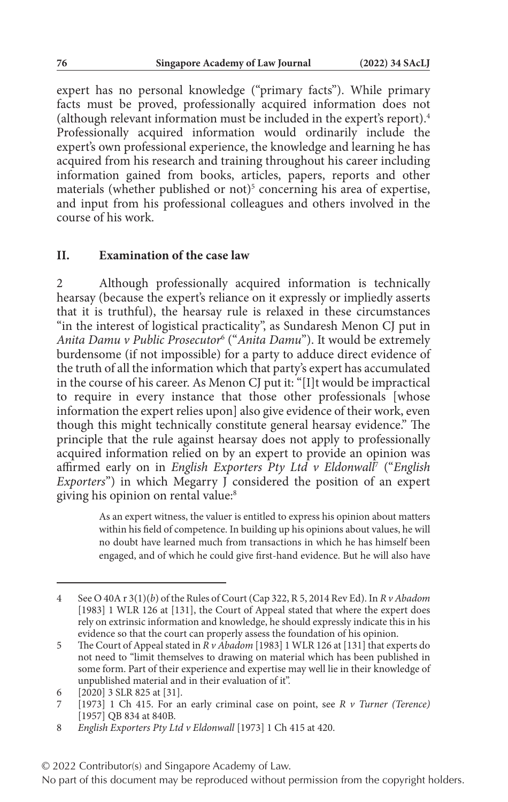expert has no personal knowledge ("primary facts"). While primary facts must be proved, professionally acquired information does not (although relevant information must be included in the expert's report).4 Professionally acquired information would ordinarily include the expert's own professional experience, the knowledge and learning he has acquired from his research and training throughout his career including information gained from books, articles, papers, reports and other materials (whether published or not)<sup>5</sup> concerning his area of expertise, and input from his professional colleagues and others involved in the course of his work.

#### **II. Examination of the case law**

2 Although professionally acquired information is technically hearsay (because the expert's reliance on it expressly or impliedly asserts that it is truthful), the hearsay rule is relaxed in these circumstances "in the interest of logistical practicality", as Sundaresh Menon CJ put in *Anita Damu v Public Prosecutor*<sup>6</sup> ("*Anita Damu*"). It would be extremely burdensome (if not impossible) for a party to adduce direct evidence of the truth of all the information which that party's expert has accumulated in the course of his career. As Menon CJ put it: "[I]t would be impractical to require in every instance that those other professionals [whose information the expert relies upon] also give evidence of their work, even though this might technically constitute general hearsay evidence." The principle that the rule against hearsay does not apply to professionally acquired information relied on by an expert to provide an opinion was affirmed early on in *English Exporters Pty Ltd v Eldonwall*<sup>7</sup> ("*English Exporters*") in which Megarry J considered the position of an expert giving his opinion on rental value:<sup>8</sup>

> As an expert witness, the valuer is entitled to express his opinion about matters within his field of competence. In building up his opinions about values, he will no doubt have learned much from transactions in which he has himself been engaged, and of which he could give first-hand evidence. But he will also have

<sup>4</sup> See O 40A r 3(1)(*b*) of the Rules of Court (Cap 322, R 5, 2014 Rev Ed). In *R v Abadom* [1983] 1 WLR 126 at [131], the Court of Appeal stated that where the expert does rely on extrinsic information and knowledge, he should expressly indicate this in his evidence so that the court can properly assess the foundation of his opinion.

<sup>5</sup> The Court of Appeal stated in *R v Abadom* [1983] 1 WLR 126 at [131] that experts do not need to "limit themselves to drawing on material which has been published in some form. Part of their experience and expertise may well lie in their knowledge of unpublished material and in their evaluation of it".

<sup>6 [2020] 3</sup> SLR 825 at [31].<br>7 [1973] 1 Ch 415 For at

<sup>7</sup> [1973] 1 Ch 415. For an early criminal case on point, see *R v Turner (Terence)* [1957] QB 834 at 840B.

<sup>8</sup> *English Exporters Pty Ltd v Eldonwall* [1973] 1 Ch 415 at 420.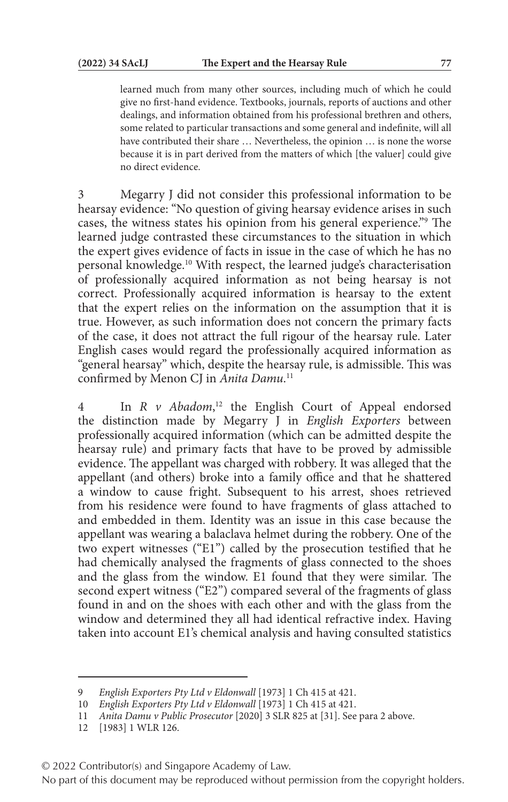learned much from many other sources, including much of which he could give no first-hand evidence. Textbooks, journals, reports of auctions and other dealings, and information obtained from his professional brethren and others, some related to particular transactions and some general and indefinite, will all have contributed their share … Nevertheless, the opinion … is none the worse because it is in part derived from the matters of which [the valuer] could give no direct evidence.

3 Megarry J did not consider this professional information to be hearsay evidence: "No question of giving hearsay evidence arises in such cases, the witness states his opinion from his general experience."9 The learned judge contrasted these circumstances to the situation in which the expert gives evidence of facts in issue in the case of which he has no personal knowledge.10 With respect, the learned judge's characterisation of professionally acquired information as not being hearsay is not correct. Professionally acquired information is hearsay to the extent that the expert relies on the information on the assumption that it is true. However, as such information does not concern the primary facts of the case, it does not attract the full rigour of the hearsay rule. Later English cases would regard the professionally acquired information as "general hearsay" which, despite the hearsay rule, is admissible. This was confirmed by Menon CJ in *Anita Damu*. 11

4 In *R v Abadom*, 12 the English Court of Appeal endorsed the distinction made by Megarry J in *English Exporters* between professionally acquired information (which can be admitted despite the hearsay rule) and primary facts that have to be proved by admissible evidence. The appellant was charged with robbery. It was alleged that the appellant (and others) broke into a family office and that he shattered a window to cause fright. Subsequent to his arrest, shoes retrieved from his residence were found to have fragments of glass attached to and embedded in them. Identity was an issue in this case because the appellant was wearing a balaclava helmet during the robbery. One of the two expert witnesses ("E1") called by the prosecution testified that he had chemically analysed the fragments of glass connected to the shoes and the glass from the window. E1 found that they were similar. The second expert witness ("E2") compared several of the fragments of glass found in and on the shoes with each other and with the glass from the window and determined they all had identical refractive index. Having taken into account E1's chemical analysis and having consulted statistics

© 2022 Contributor(s) and Singapore Academy of Law.

<sup>9</sup> *English Exporters Pty Ltd v Eldonwall* [1973] 1 Ch 415 at 421.

<sup>10</sup> *English Exporters Pty Ltd v Eldonwall* [1973] 1 Ch 415 at 421.

<sup>11</sup> *Anita Damu v Public Prosecutor* [2020] 3 SLR 825 at [31]. See para 2 above.

<sup>12</sup> [1983] 1 WLR 126.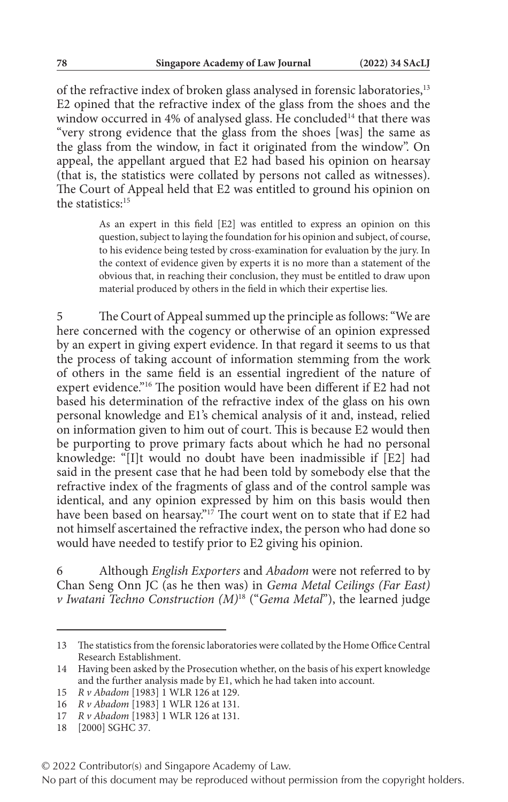of the refractive index of broken glass analysed in forensic laboratories,<sup>13</sup> E2 opined that the refractive index of the glass from the shoes and the window occurred in 4% of analysed glass. He concluded<sup>14</sup> that there was "very strong evidence that the glass from the shoes [was] the same as the glass from the window, in fact it originated from the window". On appeal, the appellant argued that E2 had based his opinion on hearsay (that is, the statistics were collated by persons not called as witnesses). The Court of Appeal held that E2 was entitled to ground his opinion on the statistics<sup>-15</sup>

> As an expert in this field [E2] was entitled to express an opinion on this question, subject to laying the foundation for his opinion and subject, of course, to his evidence being tested by cross-examination for evaluation by the jury. In the context of evidence given by experts it is no more than a statement of the obvious that, in reaching their conclusion, they must be entitled to draw upon material produced by others in the field in which their expertise lies.

5 The Court of Appeal summed up the principle as follows: "We are here concerned with the cogency or otherwise of an opinion expressed by an expert in giving expert evidence. In that regard it seems to us that the process of taking account of information stemming from the work of others in the same field is an essential ingredient of the nature of expert evidence."16 The position would have been different if E2 had not based his determination of the refractive index of the glass on his own personal knowledge and E1's chemical analysis of it and, instead, relied on information given to him out of court. This is because E2 would then be purporting to prove primary facts about which he had no personal knowledge: "[I]t would no doubt have been inadmissible if [E2] had said in the present case that he had been told by somebody else that the refractive index of the fragments of glass and of the control sample was identical, and any opinion expressed by him on this basis would then have been based on hearsay."<sup>17</sup> The court went on to state that if E2 had not himself ascertained the refractive index, the person who had done so would have needed to testify prior to E2 giving his opinion.

6 Although *English Exporters* and *Abadom* were not referred to by Chan Seng Onn JC (as he then was) in *Gema Metal Ceilings (Far East) v Iwatani Techno Construction (M)*18 ("*Gema Metal*"), the learned judge

© 2022 Contributor(s) and Singapore Academy of Law.

<sup>13</sup> The statistics from the forensic laboratories were collated by the Home Office Central Research Establishment.

<sup>14</sup> Having been asked by the Prosecution whether, on the basis of his expert knowledge and the further analysis made by E1, which he had taken into account.

<sup>15</sup> *R v Abadom* [1983] 1 WLR 126 at 129.

<sup>16</sup> *R v Abadom* [1983] 1 WLR 126 at 131.

<sup>17</sup> *R v Abadom* [1983] 1 WLR 126 at 131.

<sup>18</sup> [2000] SGHC 37.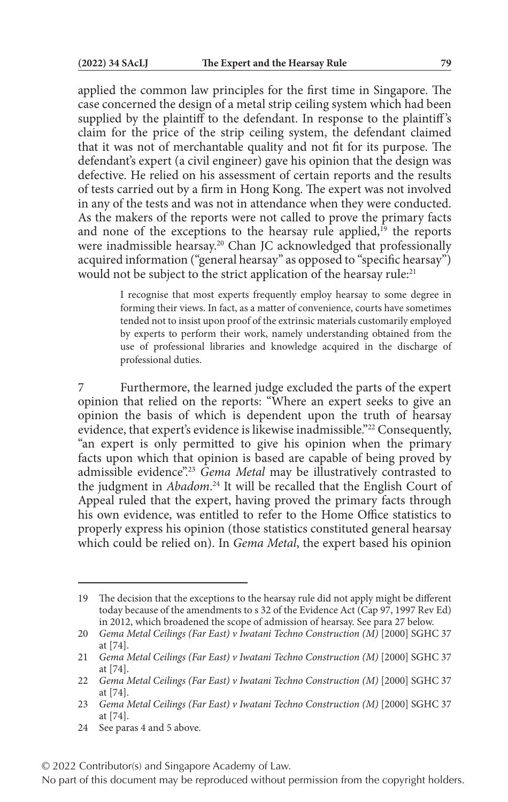applied the common law principles for the first time in Singapore. The case concerned the design of a metal strip ceiling system which had been supplied by the plaintiff to the defendant. In response to the plaintiff's claim for the price of the strip ceiling system, the defendant claimed that it was not of merchantable quality and not fit for its purpose. The defendant's expert (a civil engineer) gave his opinion that the design was defective. He relied on his assessment of certain reports and the results of tests carried out by a firm in Hong Kong. The expert was not involved in any of the tests and was not in attendance when they were conducted. As the makers of the reports were not called to prove the primary facts and none of the exceptions to the hearsay rule applied,<sup>19</sup> the reports were inadmissible hearsay.<sup>20</sup> Chan JC acknowledged that professionally acquired information ("general hearsay" as opposed to "specific hearsay") would not be subject to the strict application of the hearsay rule:<sup>21</sup>

> I recognise that most experts frequently employ hearsay to some degree in forming their views. In fact, as a matter of convenience, courts have sometimes tended not to insist upon proof of the extrinsic materials customarily employed by experts to perform their work, namely understanding obtained from the use of professional libraries and knowledge acquired in the discharge of professional duties.

Furthermore, the learned judge excluded the parts of the expert opinion that relied on the reports: "Where an expert seeks to give an opinion the basis of which is dependent upon the truth of hearsay evidence, that expert's evidence is likewise inadmissible."22 Consequently, "an expert is only permitted to give his opinion when the primary facts upon which that opinion is based are capable of being proved by admissible evidence".23 *Gema Metal* may be illustratively contrasted to the judgment in *Abadom*. 24 It will be recalled that the English Court of Appeal ruled that the expert, having proved the primary facts through his own evidence, was entitled to refer to the Home Office statistics to properly express his opinion (those statistics constituted general hearsay which could be relied on). In *Gema Metal*, the expert based his opinion

24 See paras 4 and 5 above.

© 2022 Contributor(s) and Singapore Academy of Law.

<sup>19</sup> The decision that the exceptions to the hearsay rule did not apply might be different today because of the amendments to s 32 of the Evidence Act (Cap 97, 1997 Rev Ed) in 2012, which broadened the scope of admission of hearsay. See para 27 below.

<sup>20</sup> *Gema Metal Ceilings (Far East) v Iwatani Techno Construction (M)* [2000] SGHC 37 at [74].

<sup>21</sup> *Gema Metal Ceilings (Far East) v Iwatani Techno Construction (M)* [2000] SGHC 37 at [74].

<sup>22</sup> *Gema Metal Ceilings (Far East) v Iwatani Techno Construction (M)* [2000] SGHC 37 at [74].

<sup>23</sup> *Gema Metal Ceilings (Far East) v Iwatani Techno Construction (M)* [2000] SGHC 37 at [74].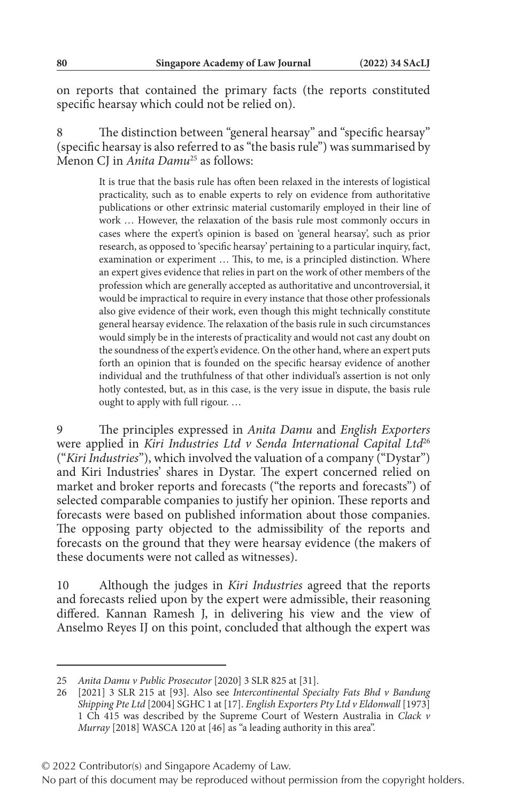on reports that contained the primary facts (the reports constituted specific hearsay which could not be relied on).

8 The distinction between "general hearsay" and "specific hearsay" (specific hearsay is also referred to as "the basis rule") was summarised by Menon CJ in *Anita Damu*25 as follows:

> It is true that the basis rule has often been relaxed in the interests of logistical practicality, such as to enable experts to rely on evidence from authoritative publications or other extrinsic material customarily employed in their line of work … However, the relaxation of the basis rule most commonly occurs in cases where the expert's opinion is based on 'general hearsay', such as prior research, as opposed to 'specific hearsay' pertaining to a particular inquiry, fact, examination or experiment … This, to me, is a principled distinction. Where an expert gives evidence that relies in part on the work of other members of the profession which are generally accepted as authoritative and uncontroversial, it would be impractical to require in every instance that those other professionals also give evidence of their work, even though this might technically constitute general hearsay evidence. The relaxation of the basis rule in such circumstances would simply be in the interests of practicality and would not cast any doubt on the soundness of the expert's evidence. On the other hand, where an expert puts forth an opinion that is founded on the specific hearsay evidence of another individual and the truthfulness of that other individual's assertion is not only hotly contested, but, as in this case, is the very issue in dispute, the basis rule ought to apply with full rigour. …

9 The principles expressed in *Anita Damu* and *English Exporters* were applied in *Kiri Industries Ltd v Senda International Capital Ltd*<sup>26</sup> ("*Kiri Industries*"), which involved the valuation of a company ("Dystar") and Kiri Industries' shares in Dystar. The expert concerned relied on market and broker reports and forecasts ("the reports and forecasts") of selected comparable companies to justify her opinion. These reports and forecasts were based on published information about those companies. The opposing party objected to the admissibility of the reports and forecasts on the ground that they were hearsay evidence (the makers of these documents were not called as witnesses).

10 Although the judges in *Kiri Industries* agreed that the reports and forecasts relied upon by the expert were admissible, their reasoning differed. Kannan Ramesh J, in delivering his view and the view of Anselmo Reyes IJ on this point, concluded that although the expert was

<sup>25</sup> *Anita Damu v Public Prosecutor* [2020] 3 SLR 825 at [31].

<sup>26</sup> [2021] 3 SLR 215 at [93]. Also see *Intercontinental Specialty Fats Bhd v Bandung Shipping Pte Ltd* [2004] SGHC 1 at [17]. *English Exporters Pty Ltd v Eldonwall* [1973] 1 Ch 415 was described by the Supreme Court of Western Australia in *Clack v Murray* [2018] WASCA 120 at [46] as "a leading authority in this area".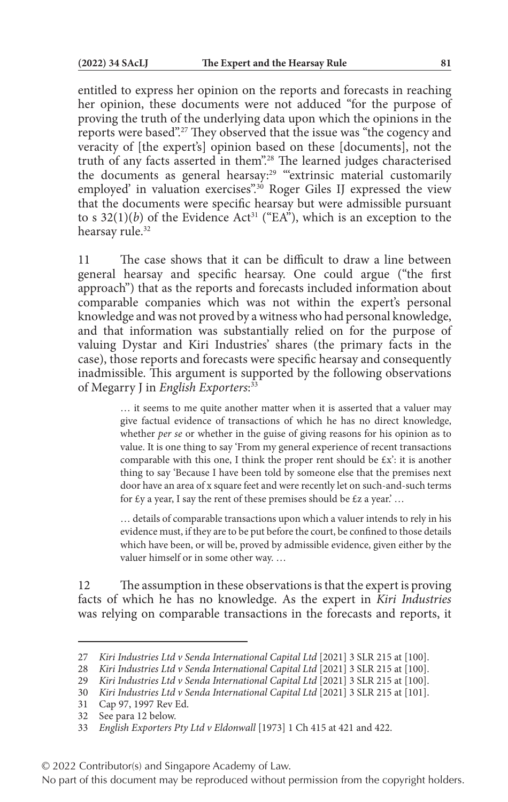entitled to express her opinion on the reports and forecasts in reaching her opinion, these documents were not adduced "for the purpose of proving the truth of the underlying data upon which the opinions in the reports were based".27 They observed that the issue was "the cogency and veracity of [the expert's] opinion based on these [documents], not the truth of any facts asserted in them".28 The learned judges characterised the documents as general hearsay:<sup>29</sup> "extrinsic material customarily employed' in valuation exercises".<sup>30</sup> Roger Giles IJ expressed the view that the documents were specific hearsay but were admissible pursuant to s  $32(1)(b)$  of the Evidence Act<sup>31</sup> ("EA"), which is an exception to the hearsay rule.<sup>32</sup>

11 The case shows that it can be difficult to draw a line between general hearsay and specific hearsay. One could argue ("the first approach") that as the reports and forecasts included information about comparable companies which was not within the expert's personal knowledge and was not proved by a witness who had personal knowledge, and that information was substantially relied on for the purpose of valuing Dystar and Kiri Industries' shares (the primary facts in the case), those reports and forecasts were specific hearsay and consequently inadmissible. This argument is supported by the following observations of Megarry J in *English Exporters*: 33

> … it seems to me quite another matter when it is asserted that a valuer may give factual evidence of transactions of which he has no direct knowledge, whether *per se* or whether in the guise of giving reasons for his opinion as to value. It is one thing to say 'From my general experience of recent transactions comparable with this one, I think the proper rent should be  $\epsilon x'$ : it is another thing to say 'Because I have been told by someone else that the premises next door have an area of x square feet and were recently let on such-and-such terms for  $\xi$ y a year, I say the rent of these premises should be  $\xi$ z a year.' ...

> … details of comparable transactions upon which a valuer intends to rely in his evidence must, if they are to be put before the court, be confined to those details which have been, or will be, proved by admissible evidence, given either by the valuer himself or in some other way. …

12 The assumption in these observations is that the expert is proving facts of which he has no knowledge. As the expert in *Kiri Industries* was relying on comparable transactions in the forecasts and reports, it

<sup>27</sup> *Kiri Industries Ltd v Senda International Capital Ltd* [2021] 3 SLR 215 at [100].

<sup>28</sup> *Kiri Industries Ltd v Senda International Capital Ltd* [2021] 3 SLR 215 at [100].

<sup>29</sup> *Kiri Industries Ltd v Senda International Capital Ltd* [2021] 3 SLR 215 at [100].

<sup>30</sup> *Kiri Industries Ltd v Senda International Capital Ltd* [2021] 3 SLR 215 at [101].

<sup>31</sup> Cap 97, 1997 Rev Ed.

<sup>32</sup> See para 12 below.

<sup>33</sup> *English Exporters Pty Ltd v Eldonwall* [1973] 1 Ch 415 at 421 and 422.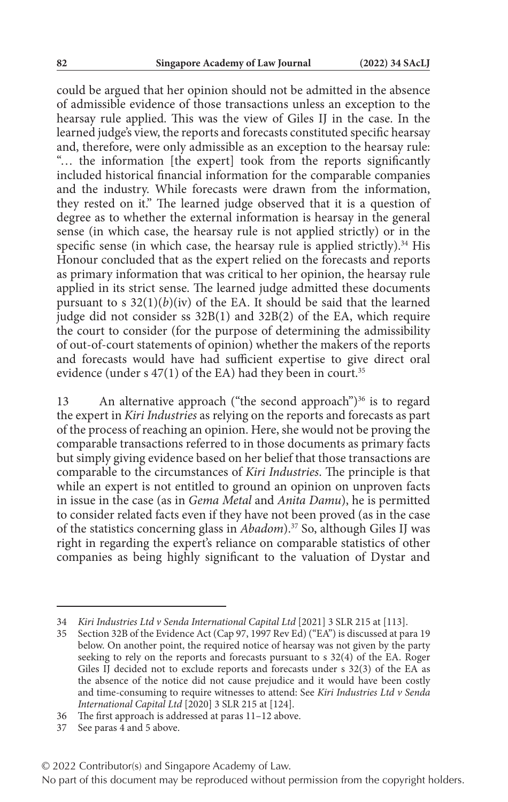could be argued that her opinion should not be admitted in the absence of admissible evidence of those transactions unless an exception to the hearsay rule applied. This was the view of Giles IJ in the case. In the learned judge's view, the reports and forecasts constituted specific hearsay and, therefore, were only admissible as an exception to the hearsay rule: "… the information [the expert] took from the reports significantly included historical financial information for the comparable companies and the industry. While forecasts were drawn from the information, they rested on it." The learned judge observed that it is a question of degree as to whether the external information is hearsay in the general sense (in which case, the hearsay rule is not applied strictly) or in the specific sense (in which case, the hearsay rule is applied strictly). $34$  His Honour concluded that as the expert relied on the forecasts and reports as primary information that was critical to her opinion, the hearsay rule applied in its strict sense. The learned judge admitted these documents pursuant to s  $32(1)(b)(iv)$  of the EA. It should be said that the learned judge did not consider ss 32B(1) and 32B(2) of the EA, which require the court to consider (for the purpose of determining the admissibility of out-of-court statements of opinion) whether the makers of the reports and forecasts would have had sufficient expertise to give direct oral evidence (under s  $47(1)$  of the EA) had they been in court.<sup>35</sup>

13 An alternative approach ("the second approach")<sup>36</sup> is to regard the expert in *Kiri Industries* as relying on the reports and forecasts as part of the process of reaching an opinion. Here, she would not be proving the comparable transactions referred to in those documents as primary facts but simply giving evidence based on her belief that those transactions are comparable to the circumstances of *Kiri Industries*. The principle is that while an expert is not entitled to ground an opinion on unproven facts in issue in the case (as in *Gema Metal* and *Anita Damu*), he is permitted to consider related facts even if they have not been proved (as in the case of the statistics concerning glass in *Abadom*).37 So, although Giles IJ was right in regarding the expert's reliance on comparable statistics of other companies as being highly significant to the valuation of Dystar and

37 See paras 4 and 5 above.

<sup>34</sup> *Kiri Industries Ltd v Senda International Capital Ltd* [2021] 3 SLR 215 at [113].

<sup>35</sup> Section 32B of the Evidence Act (Cap 97, 1997 Rev Ed) ("EA") is discussed at para 19 below. On another point, the required notice of hearsay was not given by the party seeking to rely on the reports and forecasts pursuant to s 32(4) of the EA. Roger Giles IJ decided not to exclude reports and forecasts under s 32(3) of the EA as the absence of the notice did not cause prejudice and it would have been costly and time-consuming to require witnesses to attend: See *Kiri Industries Ltd v Senda International Capital Ltd* [2020] 3 SLR 215 at [124].

<sup>36</sup> The first approach is addressed at paras 11–12 above.

No part of this document may be reproduced without permission from the copyright holders.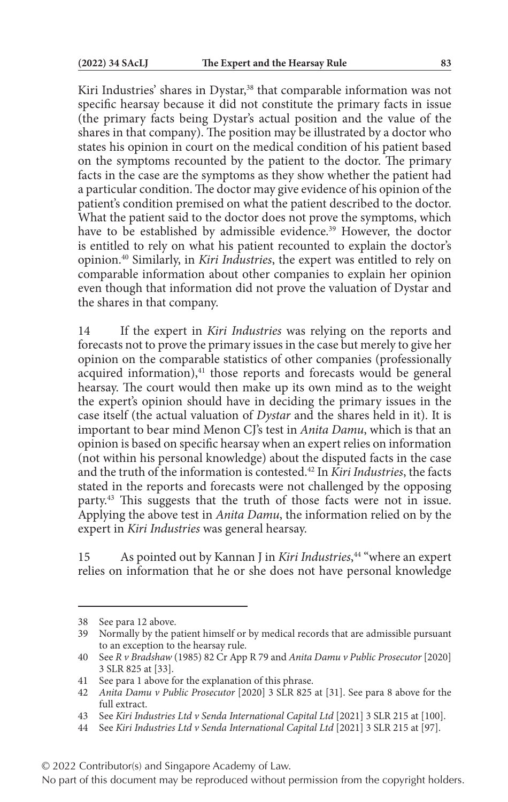Kiri Industries' shares in Dystar,<sup>38</sup> that comparable information was not specific hearsay because it did not constitute the primary facts in issue (the primary facts being Dystar's actual position and the value of the shares in that company). The position may be illustrated by a doctor who states his opinion in court on the medical condition of his patient based on the symptoms recounted by the patient to the doctor. The primary facts in the case are the symptoms as they show whether the patient had a particular condition. The doctor may give evidence of his opinion of the patient's condition premised on what the patient described to the doctor. What the patient said to the doctor does not prove the symptoms, which have to be established by admissible evidence.<sup>39</sup> However, the doctor is entitled to rely on what his patient recounted to explain the doctor's opinion.40 Similarly, in *Kiri Industries*, the expert was entitled to rely on comparable information about other companies to explain her opinion even though that information did not prove the valuation of Dystar and the shares in that company.

14 If the expert in *Kiri Industries* was relying on the reports and forecasts not to prove the primary issues in the case but merely to give her opinion on the comparable statistics of other companies (professionally  $acquired$  information), $41$  those reports and forecasts would be general hearsay. The court would then make up its own mind as to the weight the expert's opinion should have in deciding the primary issues in the case itself (the actual valuation of *Dystar* and the shares held in it). It is important to bear mind Menon CJ's test in *Anita Damu*, which is that an opinion is based on specific hearsay when an expert relies on information (not within his personal knowledge) about the disputed facts in the case and the truth of the information is contested.42 In *Kiri Industries*, the facts stated in the reports and forecasts were not challenged by the opposing party.43 This suggests that the truth of those facts were not in issue. Applying the above test in *Anita Damu*, the information relied on by the expert in *Kiri Industries* was general hearsay.

15 As pointed out by Kannan J in *Kiri Industries*, 44 "where an expert relies on information that he or she does not have personal knowledge

<sup>38</sup> See para 12 above.

<sup>39</sup> Normally by the patient himself or by medical records that are admissible pursuant to an exception to the hearsay rule.

<sup>40</sup> See *R v Bradshaw* (1985) 82 Cr App R 79 and *Anita Damu v Public Prosecutor* [2020] 3 SLR 825 at [33].

<sup>41</sup> See para 1 above for the explanation of this phrase.

<sup>42</sup> *Anita Damu v Public Prosecutor* [2020] 3 SLR 825 at [31]. See para 8 above for the full extract.

<sup>43</sup> See *Kiri Industries Ltd v Senda International Capital Ltd* [2021] 3 SLR 215 at [100].

<sup>44</sup> See *Kiri Industries Ltd v Senda International Capital Ltd* [2021] 3 SLR 215 at [97].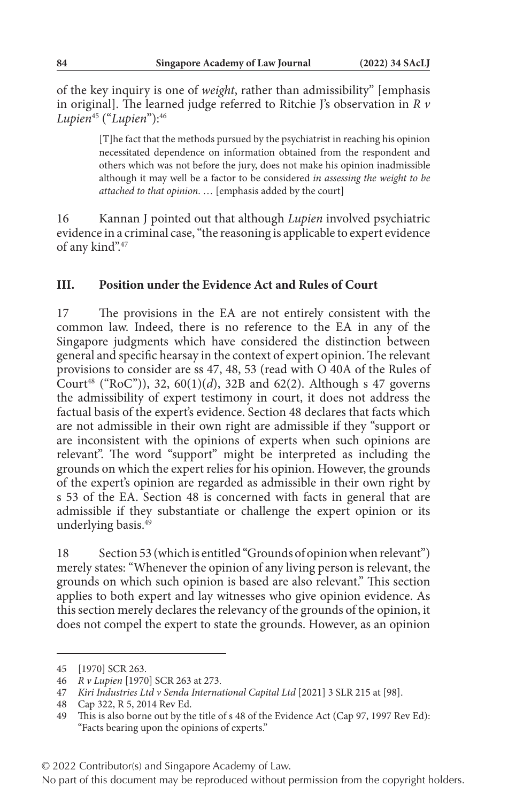of the key inquiry is one of *weight*, rather than admissibility" [emphasis in original]. The learned judge referred to Ritchie J's observation in *R v Lupien*45 ("*Lupien*"):46

> [T]he fact that the methods pursued by the psychiatrist in reaching his opinion necessitated dependence on information obtained from the respondent and others which was not before the jury, does not make his opinion inadmissible although it may well be a factor to be considered *in assessing the weight to be attached to that opinion*. … [emphasis added by the court]

16 Kannan J pointed out that although *Lupien* involved psychiatric evidence in a criminal case, "the reasoning is applicable to expert evidence of any kind".47

#### **III. Position under the Evidence Act and Rules of Court**

17 The provisions in the EA are not entirely consistent with the common law. Indeed, there is no reference to the EA in any of the Singapore judgments which have considered the distinction between general and specific hearsay in the context of expert opinion. The relevant provisions to consider are ss 47, 48, 53 (read with O 40A of the Rules of Court<sup>48</sup> ("RoC")), 32, 60(1)(*d*), 32B and 62(2). Although s 47 governs the admissibility of expert testimony in court, it does not address the factual basis of the expert's evidence. Section 48 declares that facts which are not admissible in their own right are admissible if they "support or are inconsistent with the opinions of experts when such opinions are relevant". The word "support" might be interpreted as including the grounds on which the expert relies for his opinion. However, the grounds of the expert's opinion are regarded as admissible in their own right by s 53 of the EA. Section 48 is concerned with facts in general that are admissible if they substantiate or challenge the expert opinion or its underlying basis.<sup>49</sup>

18 Section 53 (which is entitled "Grounds of opinion when relevant") merely states: "Whenever the opinion of any living person is relevant, the grounds on which such opinion is based are also relevant." This section applies to both expert and lay witnesses who give opinion evidence. As this section merely declares the relevancy of the grounds of the opinion, it does not compel the expert to state the grounds. However, as an opinion

<sup>45</sup> [1970] SCR 263.

<sup>46</sup> *R v Lupien* [1970] SCR 263 at 273.

<sup>47</sup> *Kiri Industries Ltd v Senda International Capital Ltd* [2021] 3 SLR 215 at [98].

<sup>48</sup> Cap 322, R 5, 2014 Rev Ed.

<sup>49</sup> This is also borne out by the title of s 48 of the Evidence Act (Cap 97, 1997 Rev Ed): "Facts bearing upon the opinions of experts."

No part of this document may be reproduced without permission from the copyright holders.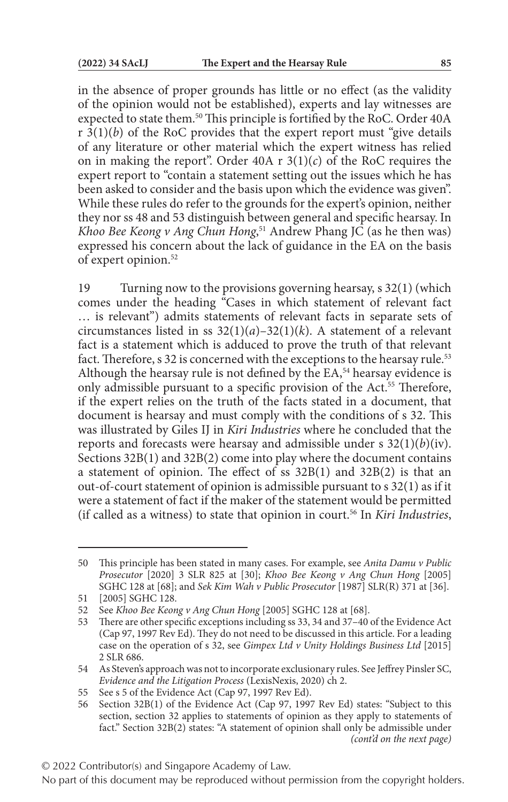in the absence of proper grounds has little or no effect (as the validity of the opinion would not be established), experts and lay witnesses are expected to state them.<sup>50</sup> This principle is fortified by the RoC. Order 40A  $r \, 3(1)(b)$  of the RoC provides that the expert report must "give details" of any literature or other material which the expert witness has relied on in making the report". Order  $40A \, r \, 3(1)(c)$  of the RoC requires the expert report to "contain a statement setting out the issues which he has been asked to consider and the basis upon which the evidence was given". While these rules do refer to the grounds for the expert's opinion, neither they nor ss 48 and 53 distinguish between general and specific hearsay. In *Khoo Bee Keong v Ang Chun Hong*, 51 Andrew Phang JC (as he then was) expressed his concern about the lack of guidance in the EA on the basis of expert opinion.52

19 Turning now to the provisions governing hearsay, s 32(1) (which comes under the heading "Cases in which statement of relevant fact … is relevant") admits statements of relevant facts in separate sets of circumstances listed in ss 32(1)(*a*)–32(1)(*k*). A statement of a relevant fact is a statement which is adduced to prove the truth of that relevant fact. Therefore, s 32 is concerned with the exceptions to the hearsay rule.<sup>53</sup> Although the hearsay rule is not defined by the EA,<sup>54</sup> hearsay evidence is only admissible pursuant to a specific provision of the Act.<sup>55</sup> Therefore, if the expert relies on the truth of the facts stated in a document, that document is hearsay and must comply with the conditions of s 32. This was illustrated by Giles IJ in *Kiri Industries* where he concluded that the reports and forecasts were hearsay and admissible under s 32(1)(*b*)(iv). Sections 32B(1) and 32B(2) come into play where the document contains a statement of opinion. The effect of ss 32B(1) and 32B(2) is that an out-of-court statement of opinion is admissible pursuant to s 32(1) as if it were a statement of fact if the maker of the statement would be permitted (if called as a witness) to state that opinion in court.56 In *Kiri Industries*,

<sup>50</sup> This principle has been stated in many cases. For example, see *Anita Damu v Public Prosecutor* [2020] 3 SLR 825 at [30]; *Khoo Bee Keong v Ang Chun Hong* [2005] SGHC 128 at [68]; and *Sek Kim Wah v Public Prosecutor* [1987] SLR(R) 371 at [36].

<sup>51</sup> [2005] SGHC 128.

<sup>52</sup> See *Khoo Bee Keong v Ang Chun Hong* [2005] SGHC 128 at [68].

<sup>53</sup> There are other specific exceptions including ss 33, 34 and 37–40 of the Evidence Act (Cap 97, 1997 Rev Ed). They do not need to be discussed in this article. For a leading case on the operation of s 32, see *Gimpex Ltd v Unity Holdings Business Ltd* [2015] 2 SLR 686.

<sup>54</sup> As Steven's approach was not to incorporate exclusionary rules. See Jeffrey Pinsler SC, *Evidence and the Litigation Process* (LexisNexis, 2020) ch 2.

<sup>55</sup> See s 5 of the Evidence Act (Cap 97, 1997 Rev Ed).

<sup>56</sup> Section 32B(1) of the Evidence Act (Cap 97, 1997 Rev Ed) states: "Subject to this section, section 32 applies to statements of opinion as they apply to statements of fact." Section 32B(2) states: "A statement of opinion shall only be admissible under *(cont'd on the next page)*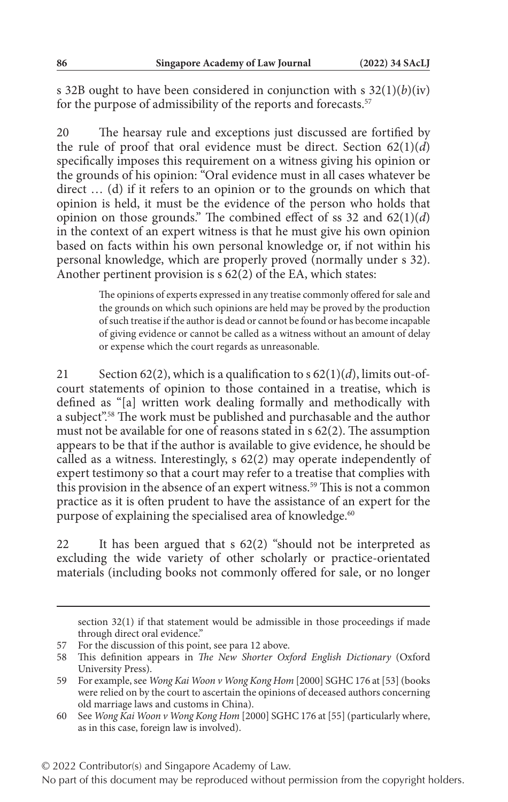s 32B ought to have been considered in conjunction with s 32(1)(*b*)(iv) for the purpose of admissibility of the reports and forecasts.<sup>57</sup>

20 The hearsay rule and exceptions just discussed are fortified by the rule of proof that oral evidence must be direct. Section 62(1)(*d*) specifically imposes this requirement on a witness giving his opinion or the grounds of his opinion: "Oral evidence must in all cases whatever be direct … (d) if it refers to an opinion or to the grounds on which that opinion is held, it must be the evidence of the person who holds that opinion on those grounds." The combined effect of ss 32 and 62(1)(*d*) in the context of an expert witness is that he must give his own opinion based on facts within his own personal knowledge or, if not within his personal knowledge, which are properly proved (normally under s 32). Another pertinent provision is s 62(2) of the EA, which states:

> The opinions of experts expressed in any treatise commonly offered for sale and the grounds on which such opinions are held may be proved by the production of such treatise if the author is dead or cannot be found or has become incapable of giving evidence or cannot be called as a witness without an amount of delay or expense which the court regards as unreasonable.

21 Section 62(2), which is a qualification to s 62(1)(*d*), limits out-ofcourt statements of opinion to those contained in a treatise, which is defined as "[a] written work dealing formally and methodically with a subject".58 The work must be published and purchasable and the author must not be available for one of reasons stated in s 62(2). The assumption appears to be that if the author is available to give evidence, he should be called as a witness. Interestingly, s 62(2) may operate independently of expert testimony so that a court may refer to a treatise that complies with this provision in the absence of an expert witness.<sup>59</sup> This is not a common practice as it is often prudent to have the assistance of an expert for the purpose of explaining the specialised area of knowledge.<sup>60</sup>

22 It has been argued that s 62(2) "should not be interpreted as excluding the wide variety of other scholarly or practice-orientated materials (including books not commonly offered for sale, or no longer

© 2022 Contributor(s) and Singapore Academy of Law.

section 32(1) if that statement would be admissible in those proceedings if made through direct oral evidence."

<sup>57</sup> For the discussion of this point, see para 12 above.

<sup>58</sup> This definition appears in *The New Shorter Oxford English Dictionary* (Oxford University Press).

<sup>59</sup> For example, see *Wong Kai Woon v Wong Kong Hom* [2000] SGHC 176 at [53] (books were relied on by the court to ascertain the opinions of deceased authors concerning old marriage laws and customs in China).

<sup>60</sup> See *Wong Kai Woon v Wong Kong Hom* [2000] SGHC 176 at [55] (particularly where, as in this case, foreign law is involved).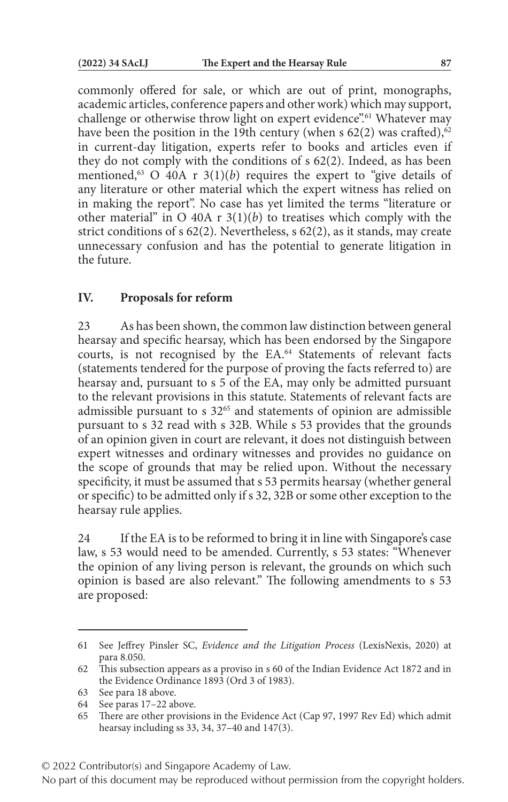commonly offered for sale, or which are out of print, monographs, academic articles, conference papers and other work) which may support, challenge or otherwise throw light on expert evidence".<sup>61</sup> Whatever may have been the position in the 19th century (when s  $62(2)$  was crafted),<sup>62</sup> in current-day litigation, experts refer to books and articles even if they do not comply with the conditions of s 62(2). Indeed, as has been mentioned,<sup>63</sup> O 40A r  $3(1)(b)$  requires the expert to "give details of any literature or other material which the expert witness has relied on in making the report". No case has yet limited the terms "literature or other material" in  $O$  40A r  $3(1)(b)$  to treatises which comply with the strict conditions of s 62(2). Nevertheless, s 62(2), as it stands, may create unnecessary confusion and has the potential to generate litigation in the future.

### **IV. Proposals for reform**

23 As has been shown, the common law distinction between general hearsay and specific hearsay, which has been endorsed by the Singapore courts, is not recognised by the EA.<sup>64</sup> Statements of relevant facts (statements tendered for the purpose of proving the facts referred to) are hearsay and, pursuant to s 5 of the EA, may only be admitted pursuant to the relevant provisions in this statute. Statements of relevant facts are admissible pursuant to  $s$  32 $<sup>65</sup>$  and statements of opinion are admissible</sup> pursuant to s 32 read with s 32B. While s 53 provides that the grounds of an opinion given in court are relevant, it does not distinguish between expert witnesses and ordinary witnesses and provides no guidance on the scope of grounds that may be relied upon. Without the necessary specificity, it must be assumed that s 53 permits hearsay (whether general or specific) to be admitted only if s 32, 32B or some other exception to the hearsay rule applies.

24 If the EA is to be reformed to bring it in line with Singapore's case law, s 53 would need to be amended. Currently, s 53 states: "Whenever the opinion of any living person is relevant, the grounds on which such opinion is based are also relevant." The following amendments to s 53 are proposed:

© 2022 Contributor(s) and Singapore Academy of Law.

<sup>61</sup> See Jeffrey Pinsler SC, *Evidence and the Litigation Process* (LexisNexis, 2020) at para 8.050.

<sup>62</sup> This subsection appears as a proviso in s 60 of the Indian Evidence Act 1872 and in the Evidence Ordinance 1893 (Ord 3 of 1983).

<sup>63</sup> See para 18 above.

<sup>64</sup> See paras 17–22 above.

<sup>65</sup> There are other provisions in the Evidence Act (Cap 97, 1997 Rev Ed) which admit hearsay including ss 33, 34, 37–40 and 147(3).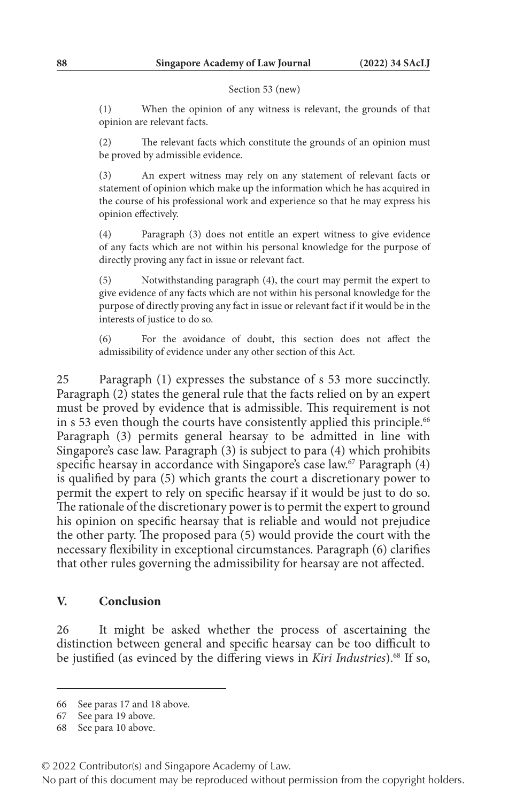#### Section 53 (new)

(1) When the opinion of any witness is relevant, the grounds of that opinion are relevant facts.

(2) The relevant facts which constitute the grounds of an opinion must be proved by admissible evidence.

(3) An expert witness may rely on any statement of relevant facts or statement of opinion which make up the information which he has acquired in the course of his professional work and experience so that he may express his opinion effectively.

(4) Paragraph (3) does not entitle an expert witness to give evidence of any facts which are not within his personal knowledge for the purpose of directly proving any fact in issue or relevant fact.

(5) Notwithstanding paragraph (4), the court may permit the expert to give evidence of any facts which are not within his personal knowledge for the purpose of directly proving any fact in issue or relevant fact if it would be in the interests of justice to do so.

(6) For the avoidance of doubt, this section does not affect the admissibility of evidence under any other section of this Act.

25 Paragraph (1) expresses the substance of s 53 more succinctly. Paragraph (2) states the general rule that the facts relied on by an expert must be proved by evidence that is admissible. This requirement is not in s 53 even though the courts have consistently applied this principle.<sup>66</sup> Paragraph (3) permits general hearsay to be admitted in line with Singapore's case law. Paragraph (3) is subject to para (4) which prohibits specific hearsay in accordance with Singapore's case law.<sup>67</sup> Paragraph (4) is qualified by para (5) which grants the court a discretionary power to permit the expert to rely on specific hearsay if it would be just to do so. The rationale of the discretionary power is to permit the expert to ground his opinion on specific hearsay that is reliable and would not prejudice the other party. The proposed para (5) would provide the court with the necessary flexibility in exceptional circumstances. Paragraph (6) clarifies that other rules governing the admissibility for hearsay are not affected.

#### **V. Conclusion**

26 It might be asked whether the process of ascertaining the distinction between general and specific hearsay can be too difficult to be justified (as evinced by the differing views in *Kiri Industries*).68 If so,

<sup>66</sup> See paras 17 and 18 above.

<sup>67</sup> See para 19 above.

<sup>68</sup> See para 10 above.

<sup>© 2022</sup> Contributor(s) and Singapore Academy of Law.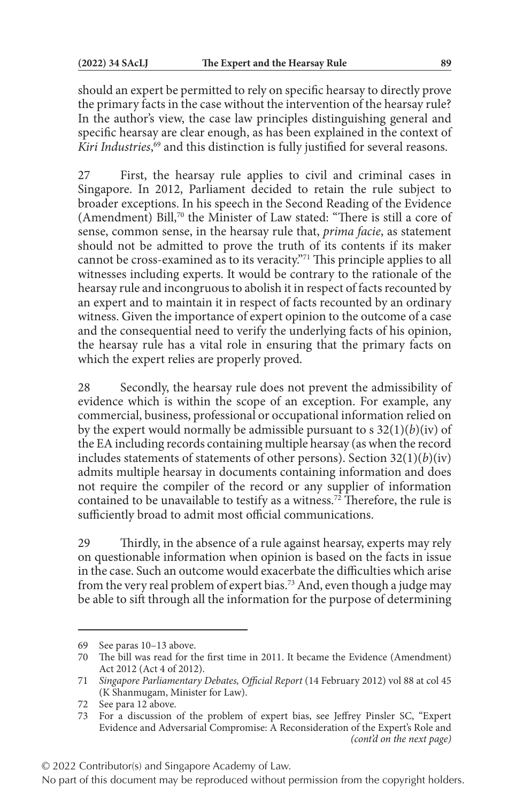should an expert be permitted to rely on specific hearsay to directly prove the primary facts in the case without the intervention of the hearsay rule? In the author's view, the case law principles distinguishing general and specific hearsay are clear enough, as has been explained in the context of *Kiri Industries*, 69 and this distinction is fully justified for several reasons.

27 First, the hearsay rule applies to civil and criminal cases in Singapore. In 2012, Parliament decided to retain the rule subject to broader exceptions. In his speech in the Second Reading of the Evidence (Amendment) Bill,<sup>70</sup> the Minister of Law stated: "There is still a core of sense, common sense, in the hearsay rule that, *prima facie*, as statement should not be admitted to prove the truth of its contents if its maker cannot be cross-examined as to its veracity."71 This principle applies to all witnesses including experts. It would be contrary to the rationale of the hearsay rule and incongruous to abolish it in respect of facts recounted by an expert and to maintain it in respect of facts recounted by an ordinary witness. Given the importance of expert opinion to the outcome of a case and the consequential need to verify the underlying facts of his opinion, the hearsay rule has a vital role in ensuring that the primary facts on which the expert relies are properly proved.

28 Secondly, the hearsay rule does not prevent the admissibility of evidence which is within the scope of an exception. For example, any commercial, business, professional or occupational information relied on by the expert would normally be admissible pursuant to  $s$  32(1)(*b*)(iv) of the EA including records containing multiple hearsay (as when the record includes statements of statements of other persons). Section 32(1)(*b*)(iv) admits multiple hearsay in documents containing information and does not require the compiler of the record or any supplier of information contained to be unavailable to testify as a witness.<sup>72</sup> Therefore, the rule is sufficiently broad to admit most official communications.

29 Thirdly, in the absence of a rule against hearsay, experts may rely on questionable information when opinion is based on the facts in issue in the case. Such an outcome would exacerbate the difficulties which arise from the very real problem of expert bias.73 And, even though a judge may be able to sift through all the information for the purpose of determining

© 2022 Contributor(s) and Singapore Academy of Law.

<sup>69</sup> See paras 10–13 above.

<sup>70</sup> The bill was read for the first time in 2011. It became the Evidence (Amendment) Act 2012 (Act 4 of 2012).

<sup>71</sup> *Singapore Parliamentary Debates, Official Report* (14 February 2012) vol 88 at col 45 (K Shanmugam, Minister for Law).

<sup>72</sup> See para 12 above.

<sup>73</sup> For a discussion of the problem of expert bias, see Jeffrey Pinsler SC, "Expert Evidence and Adversarial Compromise: A Reconsideration of the Expert's Role and *(cont'd on the next page)*

No part of this document may be reproduced without permission from the copyright holders.